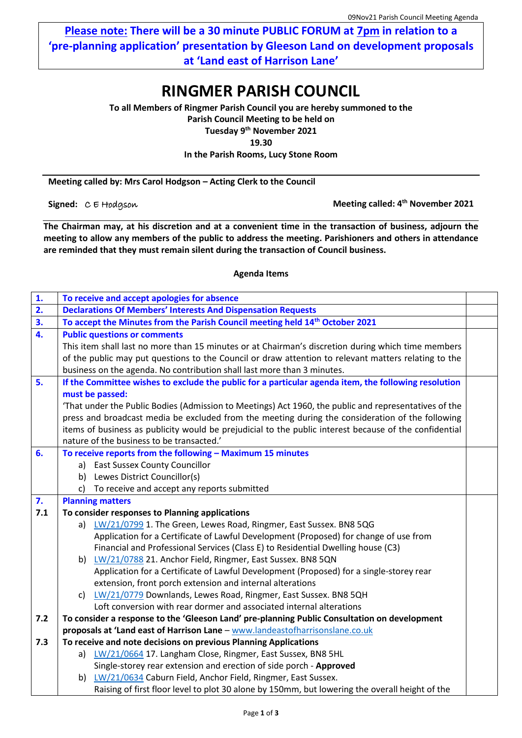**Please note: There will be a 30 minute PUBLIC FORUM at 7pm in relation to a 'pre-planning application' presentation by Gleeson Land on development proposals at 'Land east of Harrison Lane'** 

## **RINGMER PARISH COUNCIL**

**To all Members of Ringmer Parish Council you are hereby summoned to the Parish Council Meeting to be held on Tuesday 9 th November 2021**

**19.30**

**In the Parish Rooms, Lucy Stone Room**

**Meeting called by: Mrs Carol Hodgson – Acting Clerk to the Council**

**Signed:**  $C \in H$ odgson

**Meeting called: 4<sup>th</sup> November 2021** 

**The Chairman may, at his discretion and at a convenient time in the transaction of business, adjourn the meeting to allow any members of the public to address the meeting. Parishioners and others in attendance are reminded that they must remain silent during the transaction of Council business.**

## **Agenda Items**

| $\mathbf{1}$ .   | To receive and accept apologies for absence                                                            |  |  |  |  |
|------------------|--------------------------------------------------------------------------------------------------------|--|--|--|--|
| 2.               | <b>Declarations Of Members' Interests And Dispensation Requests</b>                                    |  |  |  |  |
| 3.               | To accept the Minutes from the Parish Council meeting held 14 <sup>th</sup> October 2021               |  |  |  |  |
| $\overline{4}$ . | <b>Public questions or comments</b>                                                                    |  |  |  |  |
|                  | This item shall last no more than 15 minutes or at Chairman's discretion during which time members     |  |  |  |  |
|                  | of the public may put questions to the Council or draw attention to relevant matters relating to the   |  |  |  |  |
|                  | business on the agenda. No contribution shall last more than 3 minutes.                                |  |  |  |  |
| 5.               | If the Committee wishes to exclude the public for a particular agenda item, the following resolution   |  |  |  |  |
|                  | must be passed:                                                                                        |  |  |  |  |
|                  | 'That under the Public Bodies (Admission to Meetings) Act 1960, the public and representatives of the  |  |  |  |  |
|                  | press and broadcast media be excluded from the meeting during the consideration of the following       |  |  |  |  |
|                  | items of business as publicity would be prejudicial to the public interest because of the confidential |  |  |  |  |
|                  | nature of the business to be transacted.'                                                              |  |  |  |  |
| 6.               | To receive reports from the following - Maximum 15 minutes                                             |  |  |  |  |
|                  | <b>East Sussex County Councillor</b><br>a)                                                             |  |  |  |  |
|                  | Lewes District Councillor(s)<br>b)                                                                     |  |  |  |  |
|                  | To receive and accept any reports submitted<br>c)                                                      |  |  |  |  |
| 7.               | <b>Planning matters</b>                                                                                |  |  |  |  |
| 7.1              | To consider responses to Planning applications                                                         |  |  |  |  |
|                  | LW/21/0799 1. The Green, Lewes Road, Ringmer, East Sussex. BN8 5QG<br>a)                               |  |  |  |  |
|                  | Application for a Certificate of Lawful Development (Proposed) for change of use from                  |  |  |  |  |
|                  | Financial and Professional Services (Class E) to Residential Dwelling house (C3)                       |  |  |  |  |
|                  | b) LW/21/0788 21. Anchor Field, Ringmer, East Sussex. BN8 5QN                                          |  |  |  |  |
|                  | Application for a Certificate of Lawful Development (Proposed) for a single-storey rear                |  |  |  |  |
|                  | extension, front porch extension and internal alterations                                              |  |  |  |  |
|                  | c) LW/21/0779 Downlands, Lewes Road, Ringmer, East Sussex. BN8 5QH                                     |  |  |  |  |
|                  | Loft conversion with rear dormer and associated internal alterations                                   |  |  |  |  |
| 7.2              | To consider a response to the 'Gleeson Land' pre-planning Public Consultation on development           |  |  |  |  |
|                  | proposals at 'Land east of Harrison Lane - www.landeastofharrisonslane.co.uk                           |  |  |  |  |
| 7.3              | To receive and note decisions on previous Planning Applications                                        |  |  |  |  |
|                  | LW/21/0664 17. Langham Close, Ringmer, East Sussex, BN8 5HL<br>a)                                      |  |  |  |  |
|                  | Single-storey rear extension and erection of side porch - Approved                                     |  |  |  |  |
|                  | LW/21/0634 Caburn Field, Anchor Field, Ringmer, East Sussex.<br>b)                                     |  |  |  |  |
|                  | Raising of first floor level to plot 30 alone by 150mm, but lowering the overall height of the         |  |  |  |  |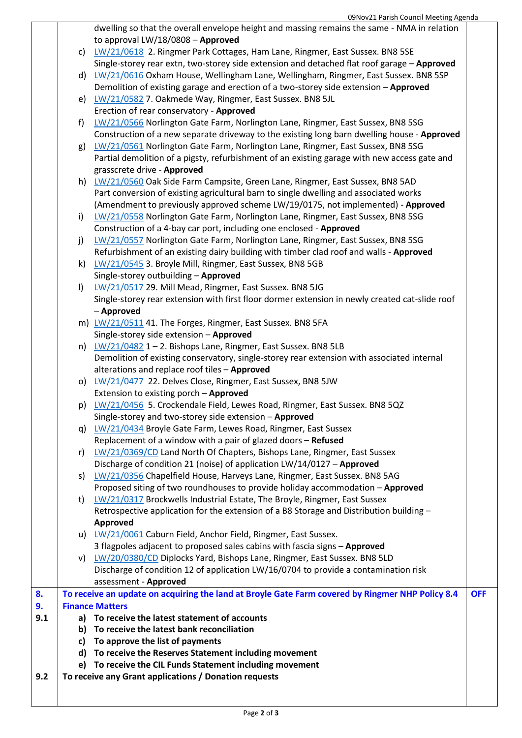|     |              | 09Nov21 Parish Council Meeting Agenda                                                            |            |
|-----|--------------|--------------------------------------------------------------------------------------------------|------------|
|     |              | dwelling so that the overall envelope height and massing remains the same - NMA in relation      |            |
|     |              | to approval LW/18/0808 - Approved                                                                |            |
|     |              | c) LW/21/0618 2. Ringmer Park Cottages, Ham Lane, Ringmer, East Sussex. BN8 5SE                  |            |
|     |              | Single-storey rear extn, two-storey side extension and detached flat roof garage - Approved      |            |
|     |              | d) LW/21/0616 Oxham House, Wellingham Lane, Wellingham, Ringmer, East Sussex. BN8 5SP            |            |
|     |              | Demolition of existing garage and erection of a two-storey side extension - Approved             |            |
|     |              | e) LW/21/0582 7. Oakmede Way, Ringmer, East Sussex. BN8 5JL                                      |            |
|     |              | Erection of rear conservatory - Approved                                                         |            |
|     | f)           | LW/21/0566 Norlington Gate Farm, Norlington Lane, Ringmer, East Sussex, BN8 5SG                  |            |
|     |              | Construction of a new separate driveway to the existing long barn dwelling house - Approved      |            |
|     |              | g) LW/21/0561 Norlington Gate Farm, Norlington Lane, Ringmer, East Sussex, BN8 5SG               |            |
|     |              | Partial demolition of a pigsty, refurbishment of an existing garage with new access gate and     |            |
|     |              | grasscrete drive - Approved                                                                      |            |
|     |              | h) LW/21/0560 Oak Side Farm Campsite, Green Lane, Ringmer, East Sussex, BN8 5AD                  |            |
|     |              | Part conversion of existing agricultural barn to single dwelling and associated works            |            |
|     |              | (Amendment to previously approved scheme LW/19/0175, not implemented) - Approved                 |            |
|     | $\mathsf{i}$ | LW/21/0558 Norlington Gate Farm, Norlington Lane, Ringmer, East Sussex, BN8 5SG                  |            |
|     |              | Construction of a 4-bay car port, including one enclosed - Approved                              |            |
|     | j)           | LW/21/0557 Norlington Gate Farm, Norlington Lane, Ringmer, East Sussex, BN8 5SG                  |            |
|     |              | Refurbishment of an existing dairy building with timber clad roof and walls - Approved           |            |
|     | k)           | LW/21/0545 3. Broyle Mill, Ringmer, East Sussex, BN8 5GB                                         |            |
|     |              | Single-storey outbuilding - Approved                                                             |            |
|     | $\vert$      | LW/21/0517 29. Mill Mead, Ringmer, East Sussex. BN8 5JG                                          |            |
|     |              | Single-storey rear extension with first floor dormer extension in newly created cat-slide roof   |            |
|     |              | - Approved                                                                                       |            |
|     |              | m) LW/21/0511 41. The Forges, Ringmer, East Sussex. BN8 5FA                                      |            |
|     |              | Single-storey side extension - Approved                                                          |            |
|     |              | n) $LW/21/0482$ 1 – 2. Bishops Lane, Ringmer, East Sussex. BN8 5LB                               |            |
|     |              | Demolition of existing conservatory, single-storey rear extension with associated internal       |            |
|     |              | alterations and replace roof tiles - Approved                                                    |            |
|     |              | o) LW/21/0477 22. Delves Close, Ringmer, East Sussex, BN8 5JW                                    |            |
|     |              | Extension to existing porch - Approved                                                           |            |
|     |              | p) LW/21/0456 5. Crockendale Field, Lewes Road, Ringmer, East Sussex. BN8 5QZ                    |            |
|     |              | Single-storey and two-storey side extension - Approved                                           |            |
|     |              | q) LW/21/0434 Broyle Gate Farm, Lewes Road, Ringmer, East Sussex                                 |            |
|     |              | Replacement of a window with a pair of glazed doors - Refused                                    |            |
|     | r)           | LW/21/0369/CD Land North Of Chapters, Bishops Lane, Ringmer, East Sussex                         |            |
|     |              | Discharge of condition 21 (noise) of application LW/14/0127 - Approved                           |            |
|     | s)           | LW/21/0356 Chapelfield House, Harveys Lane, Ringmer, East Sussex. BN8 5AG                        |            |
|     |              | Proposed siting of two roundhouses to provide holiday accommodation - Approved                   |            |
|     | t)           | LW/21/0317 Brockwells Industrial Estate, The Broyle, Ringmer, East Sussex                        |            |
|     |              | Retrospective application for the extension of a B8 Storage and Distribution building -          |            |
|     |              | <b>Approved</b>                                                                                  |            |
|     |              | u) LW/21/0061 Caburn Field, Anchor Field, Ringmer, East Sussex.                                  |            |
|     |              | 3 flagpoles adjacent to proposed sales cabins with fascia signs - Approved                       |            |
|     |              | v) LW/20/0380/CD Diplocks Yard, Bishops Lane, Ringmer, East Sussex. BN8 5LD                      |            |
|     |              | Discharge of condition 12 of application LW/16/0704 to provide a contamination risk              |            |
|     |              | assessment - Approved                                                                            |            |
| 8.  |              | To receive an update on acquiring the land at Broyle Gate Farm covered by Ringmer NHP Policy 8.4 | <b>OFF</b> |
| 9.  |              | <b>Finance Matters</b>                                                                           |            |
| 9.1 |              | a) To receive the latest statement of accounts                                                   |            |
|     |              | b) To receive the latest bank reconciliation                                                     |            |
|     |              | c) To approve the list of payments                                                               |            |
|     |              | d) To receive the Reserves Statement including movement                                          |            |
|     |              | e) To receive the CIL Funds Statement including movement                                         |            |
| 9.2 |              | To receive any Grant applications / Donation requests                                            |            |
|     |              |                                                                                                  |            |